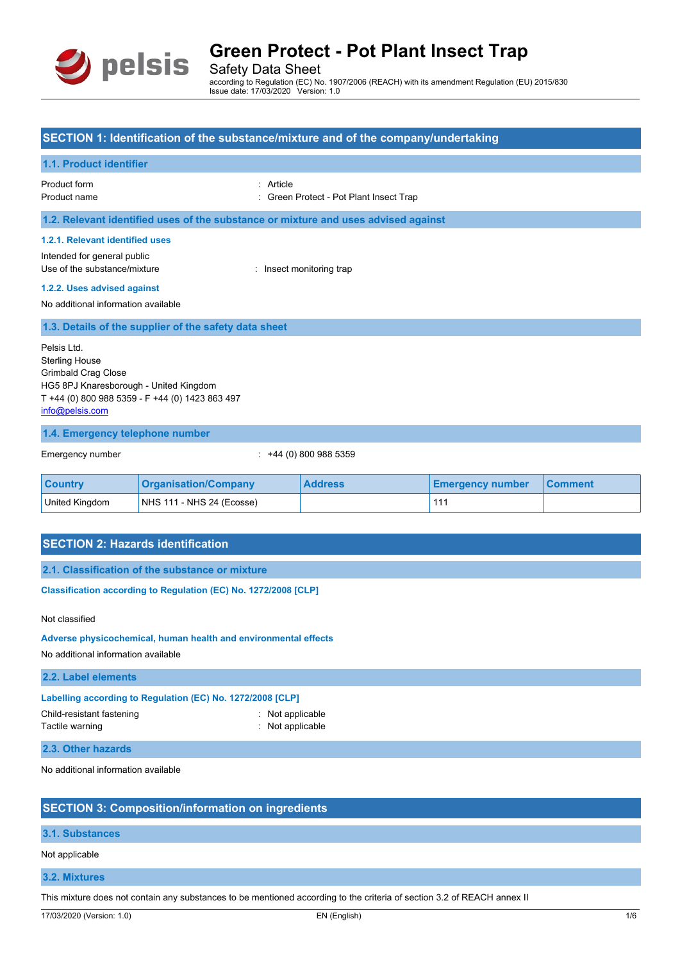

Safety Data Sheet according to Regulation (EC) No. 1907/2006 (REACH) with its amendment Regulation (EU) 2015/830 Issue date: 17/03/2020 Version: 1.0

## **SECTION 1: Identification of the substance/mixture and of the company/undertaking**

## **1.1. Product identifier**

Product form **: Article** 

Product name : Green Protect - Pot Plant Insect Trap

**1.2. Relevant identified uses of the substance or mixture and uses advised against**

#### **1.2.1. Relevant identified uses**

Intended for general public Use of the substance/mixture : Insect monitoring trap

#### **1.2.2. Uses advised against**

No additional information available

#### **1.3. Details of the supplier of the safety data sheet**

Pelsis Ltd. Sterling House Grimbald Crag Close HG5 8PJ Knaresborough - United Kingdom T +44 (0) 800 988 5359 - F +44 (0) 1423 863 497 [info@pelsis.com](mailto:info@pelsis.com)

#### **1.4. Emergency telephone number**

Emergency number : +44 (0) 800 988 5359

| <b>Country</b> | <b>Organisation/Company</b> | <b>Address</b> | <b>Emergency number</b> | <b>∣Comment</b> |
|----------------|-----------------------------|----------------|-------------------------|-----------------|
| United Kingdom | $NHS$ 111 - NHS 24 (Ecosse) |                |                         |                 |

## **SECTION 2: Hazards identification**

**2.1. Classification of the substance or mixture**

Classification according to Regulation (EC) No. 1272/2008 [CLP]

#### Not classified

#### **Adverse physicochemical, human health and environmental effects**

No additional information available

| 2.2. Label elements                                        |                |  |
|------------------------------------------------------------|----------------|--|
| Labelling according to Regulation (EC) No. 1272/2008 [CLP] |                |  |
| Child-resistant fastening                                  | Not applicable |  |

Tactile warning **intervalse and the Contraction** and the Not applicable

#### **2.3. Other hazards**

No additional information available

## **SECTION 3: Composition/information on ingredients**

## **3.1. Substances**

Not applicable

### **3.2. Mixtures**

This mixture does not contain any substances to be mentioned according to the criteria of section 3.2 of REACH annex II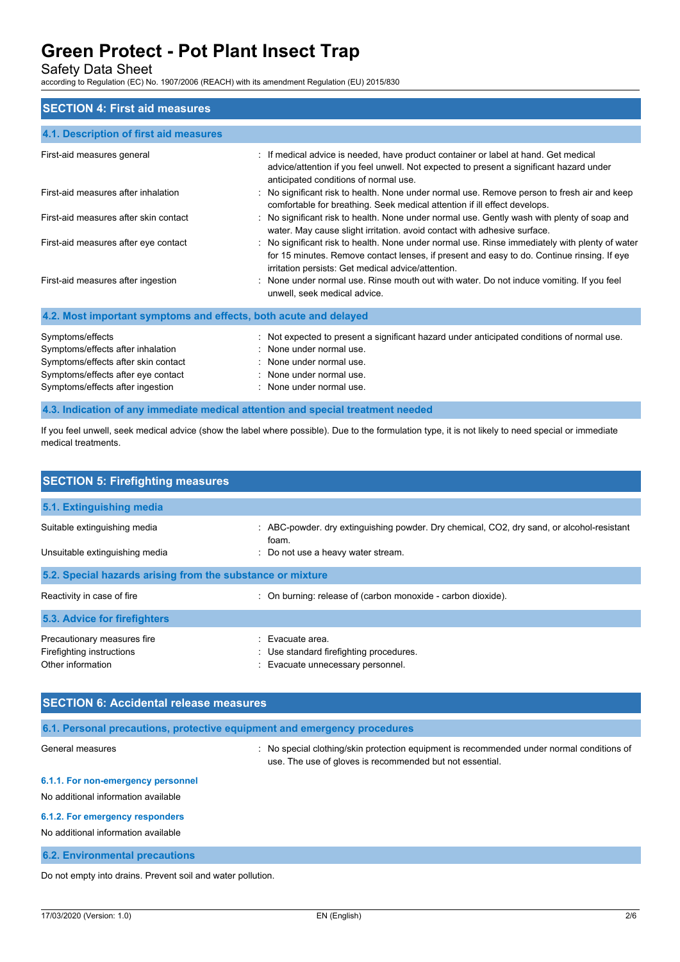Safety Data Sheet

according to Regulation (EC) No. 1907/2006 (REACH) with its amendment Regulation (EU) 2015/830

#### **SECTION 4: First aid measures**

| 4.1. Description of first aid measures                           |                                                                                                                                                                                                                                                    |
|------------------------------------------------------------------|----------------------------------------------------------------------------------------------------------------------------------------------------------------------------------------------------------------------------------------------------|
| First-aid measures general                                       | : If medical advice is needed, have product container or label at hand. Get medical<br>advice/attention if you feel unwell. Not expected to present a significant hazard under<br>anticipated conditions of normal use.                            |
| First-aid measures after inhalation                              | : No significant risk to health. None under normal use. Remove person to fresh air and keep<br>comfortable for breathing. Seek medical attention if ill effect develops.                                                                           |
| First-aid measures after skin contact                            | : No significant risk to health. None under normal use. Gently wash with plenty of soap and<br>water. May cause slight irritation, avoid contact with adhesive surface.                                                                            |
| First-aid measures after eye contact                             | : No significant risk to health. None under normal use. Rinse immediately with plenty of water<br>for 15 minutes. Remove contact lenses, if present and easy to do. Continue rinsing. If eye<br>irritation persists: Get medical advice/attention. |
| First-aid measures after ingestion                               | : None under normal use. Rinse mouth out with water. Do not induce vomiting. If you feel<br>unwell, seek medical advice.                                                                                                                           |
| 4.2. Most important symptoms and effects, both acute and delayed |                                                                                                                                                                                                                                                    |

| Symptoms/effects                    | : Not expected to present a significant hazard under anticipated conditions of normal use. |
|-------------------------------------|--------------------------------------------------------------------------------------------|
| Symptoms/effects after inhalation   | : None under normal use.                                                                   |
| Symptoms/effects after skin contact | : None under normal use.                                                                   |
| Symptoms/effects after eye contact  | : None under normal use.                                                                   |
| Symptoms/effects after ingestion    | : None under normal use.                                                                   |
|                                     |                                                                                            |

#### **4.3. Indication of any immediate medical attention and special treatment needed**

If you feel unwell, seek medical advice (show the label where possible). Due to the formulation type, it is not likely to need special or immediate medical treatments.

| <b>SECTION 5: Firefighting measures</b>                                       |                                                                                                                                          |
|-------------------------------------------------------------------------------|------------------------------------------------------------------------------------------------------------------------------------------|
| 5.1. Extinguishing media                                                      |                                                                                                                                          |
| Suitable extinguishing media<br>Unsuitable extinguishing media                | : ABC-powder, dry extinguishing powder. Dry chemical, CO2, dry sand, or alcohol-resistant<br>foam.<br>: Do not use a heavy water stream. |
| 5.2. Special hazards arising from the substance or mixture                    |                                                                                                                                          |
| Reactivity in case of fire                                                    | : On burning: release of (carbon monoxide - carbon dioxide).                                                                             |
| 5.3. Advice for firefighters                                                  |                                                                                                                                          |
| Precautionary measures fire<br>Firefighting instructions<br>Other information | $\therefore$ Evacuate area.<br>: Use standard firefighting procedures.<br>Evacuate unnecessary personnel.                                |

### **SECTION 6: Accidental release measures**

## **6.1. Personal precautions, protective equipment and emergency procedures**

General measures **included in the superior of the Second** Conditions of Ceneral measures of the state of the special clothing/skin protection equipment is recommended under normal conditions of use. The use of gloves is recommended but not essential.

## **6.1.1. For non-emergency personnel**

No additional information available

#### **6.1.2. For emergency responders**

No additional information available

#### **6.2. Environmental precautions**

Do not empty into drains. Prevent soil and water pollution.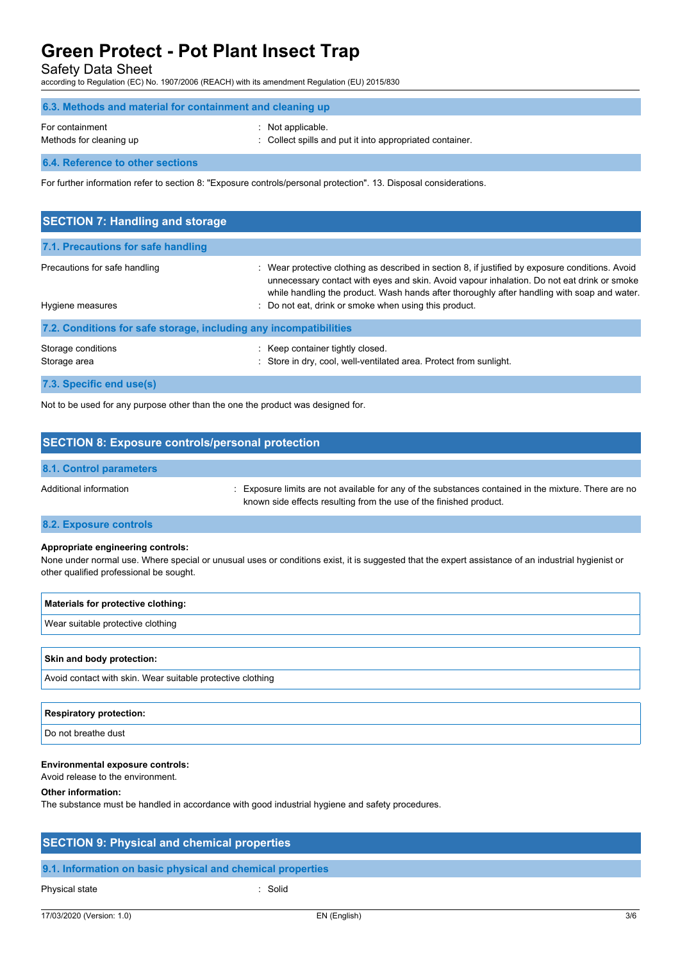Safety Data Sheet

according to Regulation (EC) No. 1907/2006 (REACH) with its amendment Regulation (EU) 2015/830

| 6.3. Methods and material for containment and cleaning up |                                                                               |
|-----------------------------------------------------------|-------------------------------------------------------------------------------|
| For containment<br>Methods for cleaning up                | : Not applicable.<br>: Collect spills and put it into appropriated container. |
| 6.4. Reference to other sections                          |                                                                               |

For further information refer to section 8: "Exposure controls/personal protection". 13. Disposal considerations.

| <b>SECTION 7: Handling and storage</b>                            |                                                                                                                                                                                                                                                                                                                                                        |
|-------------------------------------------------------------------|--------------------------------------------------------------------------------------------------------------------------------------------------------------------------------------------------------------------------------------------------------------------------------------------------------------------------------------------------------|
| 7.1. Precautions for safe handling                                |                                                                                                                                                                                                                                                                                                                                                        |
| Precautions for safe handling<br>Hygiene measures                 | : Wear protective clothing as described in section 8, if justified by exposure conditions. Avoid<br>unnecessary contact with eyes and skin. Avoid vapour inhalation. Do not eat drink or smoke<br>while handling the product. Wash hands after thoroughly after handling with soap and water.<br>: Do not eat, drink or smoke when using this product. |
| 7.2. Conditions for safe storage, including any incompatibilities |                                                                                                                                                                                                                                                                                                                                                        |
| Storage conditions<br>Storage area                                | : Keep container tightly closed.<br>Store in dry, cool, well-ventilated area. Protect from sunlight.                                                                                                                                                                                                                                                   |
| 7.3. Specific end use(s)                                          |                                                                                                                                                                                                                                                                                                                                                        |

Not to be used for any purpose other than the one the product was designed for.

### **SECTION 8: Exposure controls/personal protection**

#### **8.1. Control parameters**

Additional information **increases and Additional information** : Exposure limits are not available for any of the substances contained in the mixture. There are no known side effects resulting from the use of the finished product.

#### **8.2. Exposure controls**

#### **Appropriate engineering controls:**

None under normal use. Where special or unusual uses or conditions exist, it is suggested that the expert assistance of an industrial hygienist or other qualified professional be sought.

| Materials for protective clothing:                         |
|------------------------------------------------------------|
| Wear suitable protective clothing                          |
|                                                            |
| <b>Skin and body protection:</b>                           |
| Avoid contact with skin. Wear suitable protective clothing |

#### **Respiratory protection:**

Do not breathe dust

#### **Environmental exposure controls:**

Avoid release to the environment.

#### **Other information:**

The substance must be handled in accordance with good industrial hygiene and safety procedures.

| <b>SECTION 9: Physical and chemical properties</b>         |         |
|------------------------------------------------------------|---------|
| 9.1. Information on basic physical and chemical properties |         |
| Physical state                                             | : Solid |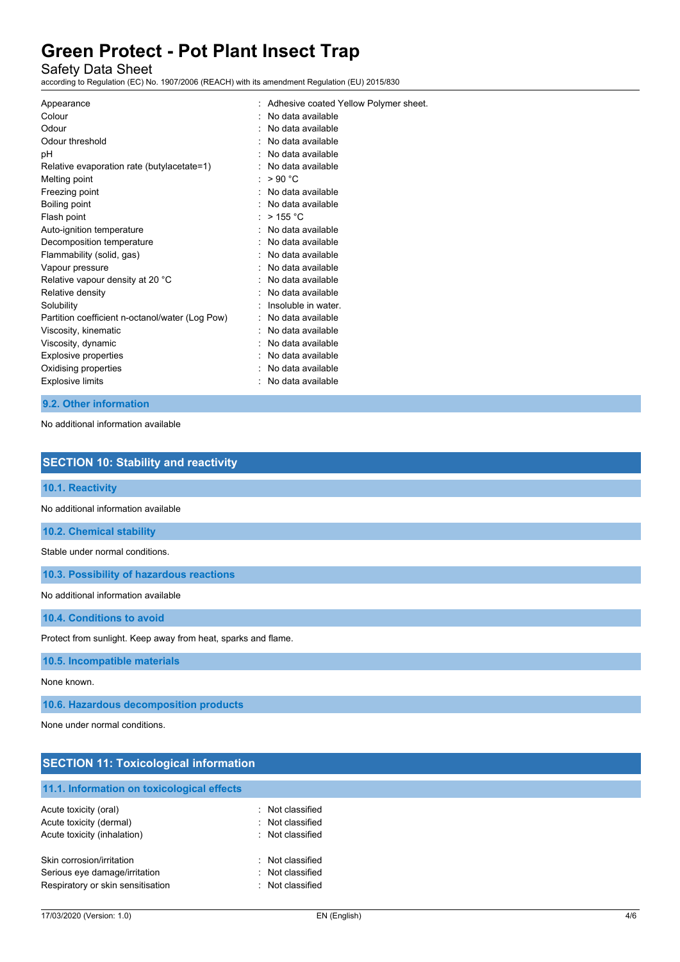Safety Data Sheet

according to Regulation (EC) No. 1907/2006 (REACH) with its amendment Regulation (EU) 2015/830

| Appearance                                      | : Adhesive coated Yellow Polymer sheet. |
|-------------------------------------------------|-----------------------------------------|
| Colour                                          | No data available                       |
| Odour                                           | No data available                       |
| Odour threshold                                 | No data available                       |
| рH                                              | No data available                       |
| Relative evaporation rate (butylacetate=1)      | No data available                       |
| Melting point                                   | >90 °C                                  |
| Freezing point                                  | No data available                       |
| Boiling point                                   | : No data available                     |
| Flash point                                     | $>$ 155 °C                              |
| Auto-ignition temperature                       | No data available                       |
| Decomposition temperature                       | : No data available                     |
| Flammability (solid, gas)                       | No data available                       |
| Vapour pressure                                 | No data available                       |
| Relative vapour density at 20 °C                | No data available                       |
| Relative density                                | No data available                       |
| Solubility                                      | Insoluble in water.                     |
| Partition coefficient n-octanol/water (Log Pow) | No data available                       |
| Viscosity, kinematic                            | No data available                       |
| Viscosity, dynamic                              | No data available                       |
| <b>Explosive properties</b>                     | No data available                       |
| Oxidising properties                            | No data available                       |
| <b>Explosive limits</b>                         | : No data available                     |
|                                                 |                                         |

## **9.2. Other information**

No additional information available

| <b>SECTION 10: Stability and reactivity</b>                   |
|---------------------------------------------------------------|
| 10.1. Reactivity                                              |
| No additional information available                           |
| 10.2. Chemical stability                                      |
| Stable under normal conditions.                               |
| 10.3. Possibility of hazardous reactions                      |
| No additional information available                           |
| 10.4. Conditions to avoid                                     |
| Protect from sunlight. Keep away from heat, sparks and flame. |
| 10.5. Incompatible materials                                  |
| None known.                                                   |
| 10.6. Hazardous decomposition products                        |
| None under normal conditions.                                 |
|                                                               |
| <b>SECTION 11: Toxicological information</b>                  |

| 11.1. Information on toxicological effects |                  |
|--------------------------------------------|------------------|
|                                            |                  |
| Acute toxicity (oral)                      | : Not classified |
| Acute toxicity (dermal)                    | : Not classified |
| Acute toxicity (inhalation)                | : Not classified |
| Skin corrosion/irritation                  | : Not classified |
| Serious eye damage/irritation              | : Not classified |
| Respiratory or skin sensitisation          | : Not classified |
|                                            |                  |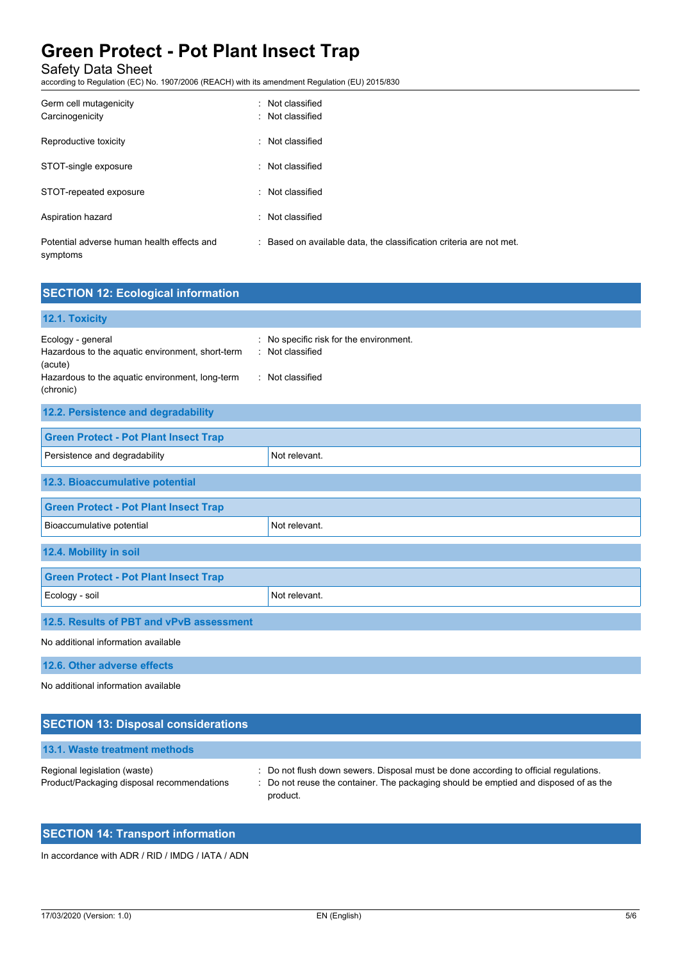Safety Data Sheet

according to Regulation (EC) No. 1907/2006 (REACH) with its amendment Regulation (EU) 2015/830

| Germ cell mutagenicity<br>Carcinogenicity              | : Not classified<br>: Not classified                       |
|--------------------------------------------------------|------------------------------------------------------------|
| Reproductive toxicity                                  | : Not classified                                           |
| STOT-single exposure                                   | : Not classified                                           |
| STOT-repeated exposure                                 | : Not classified                                           |
| Aspiration hazard                                      | : Not classified                                           |
| Potential adverse human health effects and<br>symptoms | : Based on available data, the classification criteria are |

| <b>SECTION 12: Ecological information</b>                                                                                                             |                                                                             |  |
|-------------------------------------------------------------------------------------------------------------------------------------------------------|-----------------------------------------------------------------------------|--|
| 12.1. Toxicity                                                                                                                                        |                                                                             |  |
| Ecology - general<br>٠<br>Hazardous to the aquatic environment, short-term<br>(acute)<br>Hazardous to the aquatic environment, long-term<br>(chronic) | No specific risk for the environment.<br>Not classified<br>: Not classified |  |
| 12.2. Persistence and degradability                                                                                                                   |                                                                             |  |
| <b>Green Protect - Pot Plant Insect Trap</b>                                                                                                          |                                                                             |  |
| Persistence and degradability                                                                                                                         | Not relevant.                                                               |  |
| 12.3. Bioaccumulative potential                                                                                                                       |                                                                             |  |
| <b>Green Protect - Pot Plant Insect Trap</b>                                                                                                          |                                                                             |  |
| Bioaccumulative potential                                                                                                                             | Not relevant.                                                               |  |
| 12.4. Mobility in soil                                                                                                                                |                                                                             |  |
| <b>Green Protect - Pot Plant Insect Trap</b>                                                                                                          |                                                                             |  |
| Ecology - soil                                                                                                                                        | Not relevant.                                                               |  |
| 12.5. Results of PBT and vPvB assessment                                                                                                              |                                                                             |  |
| No additional information available                                                                                                                   |                                                                             |  |
| 12.6. Other adverse effects                                                                                                                           |                                                                             |  |
| No additional information available                                                                                                                   |                                                                             |  |

not met.

| <b>SECTION 13: Disposal considerations</b>                                 |                                                                                                                                                                                          |
|----------------------------------------------------------------------------|------------------------------------------------------------------------------------------------------------------------------------------------------------------------------------------|
| 13.1. Waste treatment methods                                              |                                                                                                                                                                                          |
| Regional legislation (waste)<br>Product/Packaging disposal recommendations | : Do not flush down sewers. Disposal must be done according to official regulations.<br>: Do not reuse the container. The packaging should be emptied and disposed of as the<br>product. |

## **SECTION 14: Transport information**

In accordance with ADR / RID / IMDG / IATA / ADN